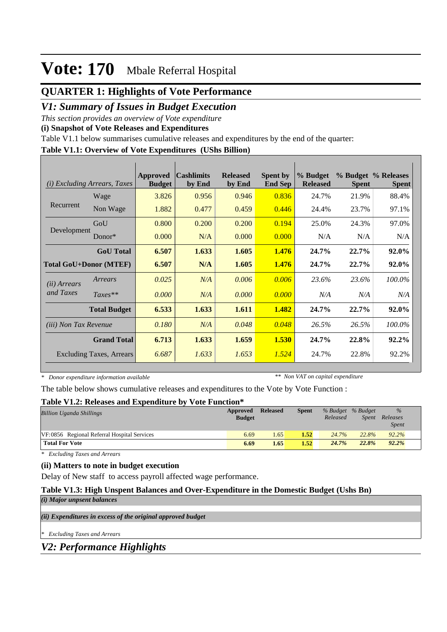## **QUARTER 1: Highlights of Vote Performance**

## *V1: Summary of Issues in Budget Execution*

*This section provides an overview of Vote expenditure* 

**(i) Snapshot of Vote Releases and Expenditures**

Table V1.1 below summarises cumulative releases and expenditures by the end of the quarter:

#### **Table V1.1: Overview of Vote Expenditures (UShs Billion)**

| (i)                          | Excluding Arrears, Taxes        | <b>Approved</b><br><b>Budget</b> | <b>Cashlimits</b><br>by End | <b>Released</b><br>by End | <b>Spent by</b><br><b>End Sep</b> | % Budget<br><b>Released</b> | <b>Spent</b> | % Budget % Releases<br><b>Spent</b> |
|------------------------------|---------------------------------|----------------------------------|-----------------------------|---------------------------|-----------------------------------|-----------------------------|--------------|-------------------------------------|
|                              | Wage                            | 3.826                            | 0.956                       | 0.946                     | 0.836                             | 24.7%                       | 21.9%        | 88.4%                               |
| Recurrent                    | Non Wage                        | 1.882                            | 0.477                       | 0.459                     | 0.446                             | 24.4%                       | 23.7%        | 97.1%                               |
|                              | GoU                             | 0.800                            | 0.200                       | 0.200                     | 0.194                             | 25.0%                       | 24.3%        | 97.0%                               |
| Development                  | $Donor*$                        | 0.000                            | N/A                         | 0.000                     | 0.000                             | N/A                         | N/A          | N/A                                 |
|                              | <b>GoU</b> Total                | 6.507                            | 1.633                       | 1.605                     | 1.476                             | 24.7%                       | 22.7%        | 92.0%                               |
|                              | <b>Total GoU+Donor (MTEF)</b>   | 6.507                            | N/A                         | 1.605                     | 1.476                             | 24.7%                       | 22.7%        | 92.0%                               |
| ( <i>ii</i> ) Arrears        | Arrears                         | 0.025                            | N/A                         | 0.006                     | 0.006                             | 23.6%                       | 23.6%        | 100.0%                              |
| and Taxes                    | $Taxes**$                       | 0.000                            | N/A                         | 0.000                     | 0.000                             | N/A                         | N/A          | N/A                                 |
|                              | <b>Total Budget</b>             | 6.533                            | 1.633                       | 1.611                     | 1.482                             | 24.7%                       | 22.7%        | 92.0%                               |
| <i>(iii)</i> Non Tax Revenue |                                 | 0.180                            | N/A                         | 0.048                     | 0.048                             | 26.5%                       | 26.5%        | 100.0%                              |
|                              | <b>Grand Total</b>              | 6.713                            | 1.633                       | 1.659                     | 1.530                             | 24.7%                       | 22.8%        | 92.2%                               |
|                              | <b>Excluding Taxes, Arrears</b> | 6.687                            | 1.633                       | 1.653                     | 1.524                             | 24.7%                       | 22.8%        | 92.2%                               |

*\* Donor expenditure information available*

*\*\* Non VAT on capital expenditure*

The table below shows cumulative releases and expenditures to the Vote by Vote Function :

#### **Table V1.2: Releases and Expenditure by Vote Function\***

| <b>Billion Uganda Shillings</b>             | Approved<br><b>Budget</b> | <b>Released</b> | <b>Spent</b> | Released | % Budget % Budget | $\frac{9}{6}$<br>Spent Releases<br><b>Spent</b> |  |
|---------------------------------------------|---------------------------|-----------------|--------------|----------|-------------------|-------------------------------------------------|--|
| VF:0856 Regional Referral Hospital Services | 6.69                      | 1.65            | 1.52         | 24.7%    | 22.8%             | 92.2%                                           |  |
| <b>Total For Vote</b>                       | 6.69                      | 1.65            | 1.52         | 24.7%    | 22.8%             | 92.2%                                           |  |

*\* Excluding Taxes and Arrears*

#### **(ii) Matters to note in budget execution**

Delay of New staff to access payroll affected wage performance.

#### **Table V1.3: High Unspent Balances and Over-Expenditure in the Domestic Budget (Ushs Bn)**

*(i) Major unpsent balances*

*(ii) Expenditures in excess of the original approved budget*

*\* Excluding Taxes and Arrears*

*V2: Performance Highlights*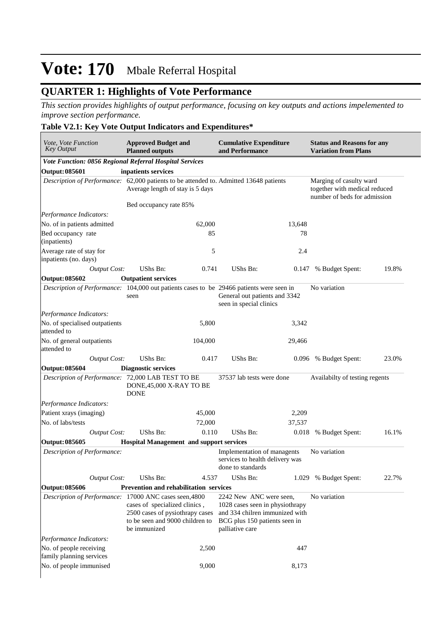## **QUARTER 1: Highlights of Vote Performance**

*This section provides highlights of output performance, focusing on key outputs and actions impelemented to improve section performance.*

### **Table V2.1: Key Vote Output Indicators and Expenditures\***

| Vote, Vote Function<br><b>Key Output</b>                                       |                     | <b>Approved Budget and</b><br><b>Planned outputs</b>                                                                                                                          |         | <b>Cumulative Expenditure</b><br>and Performance                                                                                                     |        | <b>Status and Reasons for any</b><br><b>Variation from Plans</b>                         |       |  |
|--------------------------------------------------------------------------------|---------------------|-------------------------------------------------------------------------------------------------------------------------------------------------------------------------------|---------|------------------------------------------------------------------------------------------------------------------------------------------------------|--------|------------------------------------------------------------------------------------------|-------|--|
|                                                                                |                     | Vote Function: 0856 Regional Referral Hospital Services                                                                                                                       |         |                                                                                                                                                      |        |                                                                                          |       |  |
| <b>Output: 085601</b>                                                          |                     | inpatients services                                                                                                                                                           |         |                                                                                                                                                      |        |                                                                                          |       |  |
|                                                                                |                     | Average length of stay is 5 days                                                                                                                                              |         | Description of Performance: 62,000 patients to be attended to. Admitted 13648 patients                                                               |        | Marging of casulty ward<br>together with medical reduced<br>number of beds for admission |       |  |
|                                                                                |                     | Bed occupancy rate 85%                                                                                                                                                        |         |                                                                                                                                                      |        |                                                                                          |       |  |
| Performance Indicators:                                                        |                     |                                                                                                                                                                               |         |                                                                                                                                                      |        |                                                                                          |       |  |
| No. of in patients admitted                                                    |                     |                                                                                                                                                                               | 62,000  |                                                                                                                                                      | 13,648 |                                                                                          |       |  |
| Bed occupancy rate<br>(inpatients)                                             |                     |                                                                                                                                                                               | 85      |                                                                                                                                                      | 78     |                                                                                          |       |  |
| Average rate of stay for<br>inpatients (no. days)                              |                     |                                                                                                                                                                               | 5       |                                                                                                                                                      | 2.4    |                                                                                          |       |  |
|                                                                                | <b>Output Cost:</b> | UShs Bn:                                                                                                                                                                      | 0.741   | UShs Bn:                                                                                                                                             | 0.147  | % Budget Spent:                                                                          | 19.8% |  |
| <b>Output: 085602</b>                                                          |                     | <b>Outpatient services</b>                                                                                                                                                    |         |                                                                                                                                                      |        |                                                                                          |       |  |
|                                                                                |                     | seen                                                                                                                                                                          |         | Description of Performance: 104,000 out patients cases to be 29466 patients were seen in<br>General out patients and 3342<br>seen in special clinics |        | No variation                                                                             |       |  |
| Performance Indicators:                                                        |                     |                                                                                                                                                                               |         |                                                                                                                                                      |        |                                                                                          |       |  |
| No. of specialised outpatients<br>attended to                                  |                     |                                                                                                                                                                               | 5,800   |                                                                                                                                                      | 3,342  |                                                                                          |       |  |
| No. of general outpatients<br>attended to                                      |                     |                                                                                                                                                                               | 104,000 |                                                                                                                                                      | 29,466 |                                                                                          |       |  |
|                                                                                | <b>Output Cost:</b> | UShs Bn:                                                                                                                                                                      | 0.417   | UShs Bn:                                                                                                                                             | 0.096  | % Budget Spent:                                                                          | 23.0% |  |
| <b>Output: 085604</b>                                                          |                     | <b>Diagnostic services</b>                                                                                                                                                    |         |                                                                                                                                                      |        |                                                                                          |       |  |
|                                                                                |                     | Description of Performance: 72,000 LAB TEST TO BE<br>DONE, 45,000 X-RAY TO BE<br><b>DONE</b>                                                                                  |         | 37537 lab tests were done                                                                                                                            |        | Availabilty of testing regents                                                           |       |  |
| Performance Indicators:                                                        |                     |                                                                                                                                                                               |         |                                                                                                                                                      |        |                                                                                          |       |  |
| Patient xrays (imaging)                                                        |                     |                                                                                                                                                                               | 45,000  |                                                                                                                                                      | 2,209  |                                                                                          |       |  |
| No. of labs/tests                                                              |                     |                                                                                                                                                                               | 72,000  |                                                                                                                                                      | 37,537 |                                                                                          |       |  |
|                                                                                | <b>Output Cost:</b> | UShs Bn:                                                                                                                                                                      | 0.110   | UShs Bn:                                                                                                                                             |        | 0.018 % Budget Spent:                                                                    | 16.1% |  |
| <b>Output: 085605</b>                                                          |                     | <b>Hospital Management and support services</b>                                                                                                                               |         |                                                                                                                                                      |        |                                                                                          |       |  |
| Description of Performance:                                                    |                     |                                                                                                                                                                               |         |                                                                                                                                                      |        |                                                                                          |       |  |
|                                                                                |                     |                                                                                                                                                                               |         | Implementation of managents<br>services to health delivery was<br>done to standards                                                                  |        | No variation                                                                             |       |  |
|                                                                                | <b>Output Cost:</b> | <b>UShs Bn:</b>                                                                                                                                                               | 4.537   | UShs Bn:                                                                                                                                             |        | 1.029 % Budget Spent:                                                                    | 22.7% |  |
| <b>Output: 085606</b>                                                          |                     | Prevention and rehabilitation services                                                                                                                                        |         |                                                                                                                                                      |        |                                                                                          |       |  |
|                                                                                |                     | Description of Performance: 17000 ANC cases seen, 4800<br>cases of specialized clinics,<br>2500 cases of pysiothrapy cases<br>to be seen and 9000 children to<br>be immunized |         | 2242 New ANC were seen,<br>1028 cases seen in physiothrapy<br>and 334 chilren immunized with<br>BCG plus 150 patients seen in<br>palliative care     |        | No variation                                                                             |       |  |
|                                                                                |                     |                                                                                                                                                                               |         |                                                                                                                                                      |        |                                                                                          |       |  |
| Performance Indicators:<br>No. of people receiving<br>family planning services |                     |                                                                                                                                                                               | 2,500   |                                                                                                                                                      | 447    |                                                                                          |       |  |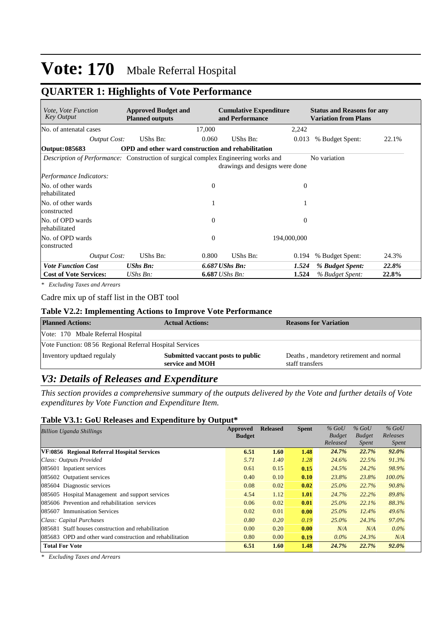## **QUARTER 1: Highlights of Vote Performance**

| <i>Vote, Vote Function</i><br><b>Key Output</b>                                           | <b>Approved Budget and</b><br><b>Planned outputs</b>      |                  | <b>Cumulative Expenditure</b><br>and Performance |                | <b>Status and Reasons for any</b><br><b>Variation from Plans</b> |       |
|-------------------------------------------------------------------------------------------|-----------------------------------------------------------|------------------|--------------------------------------------------|----------------|------------------------------------------------------------------|-------|
| No. of antenatal cases                                                                    |                                                           | 17,000           |                                                  | 2,242          |                                                                  |       |
| <b>Output Cost:</b>                                                                       | UShs Bn:                                                  | 0.060            | UShs Bn:                                         | 0.013          | % Budget Spent:                                                  | 22.1% |
| Output: 085683                                                                            | <b>OPD</b> and other ward construction and rehabilitation |                  |                                                  |                |                                                                  |       |
| <i>Description of Performance:</i> Construction of surgical complex Engineering works and |                                                           |                  | drawings and designs were done                   |                | No variation                                                     |       |
| Performance Indicators:                                                                   |                                                           |                  |                                                  |                |                                                                  |       |
| No. of other wards<br>rehabilitated                                                       |                                                           | $\Omega$         |                                                  | $\Omega$       |                                                                  |       |
| No. of other wards<br>constructed                                                         |                                                           |                  |                                                  |                |                                                                  |       |
| No. of OPD wards<br>rehabilitated                                                         |                                                           | $\theta$         |                                                  | $\overline{0}$ |                                                                  |       |
| No. of OPD wards<br>constructed                                                           |                                                           | $\Omega$         | 194,000,000                                      |                |                                                                  |       |
| <b>Output Cost:</b>                                                                       | UShs Bn:                                                  | 0.800            | UShs Bn:                                         | 0.194          | % Budget Spent:                                                  | 24.3% |
| <b>Vote Function Cost</b>                                                                 | <b>UShs Bn:</b>                                           | $6.687$ UShs Bn: |                                                  | 1.524          | % Budget Spent:                                                  | 22.8% |
| <b>Cost of Vote Services:</b>                                                             | UShs Bn:                                                  | $6.687$ UShs Bn: |                                                  | 1.524          | % Budget Spent:                                                  | 22.8% |

*\* Excluding Taxes and Arrears*

Cadre mix up of staff list in the OBT tool

#### **Table V2.2: Implementing Actions to Improve Vote Performance**

| <b>Planned Actions:</b>                                  | <b>Actual Actions:</b>                               | <b>Reasons for Variation</b>                               |
|----------------------------------------------------------|------------------------------------------------------|------------------------------------------------------------|
| Vote: 170 Mbale Referral Hospital                        |                                                      |                                                            |
| Vote Function: 08 56 Regional Referral Hospital Services |                                                      |                                                            |
| Inventory updtaed regulaly                               | Submitted vaccant posts to public<br>service and MOH | Deaths, mandetory retirement and normal<br>staff transfers |

## *V3: Details of Releases and Expenditure*

*This section provides a comprehensive summary of the outputs delivered by the Vote and further details of Vote expenditures by Vote Function and Expenditure Item.*

#### **Table V3.1: GoU Releases and Expenditure by Output\***

| <b>Billion Uganda Shillings</b>                           | Approved      | <b>Released</b> | <b>Spent</b> | $%$ GoU       | $%$ GoU       | $%$ GoU      |
|-----------------------------------------------------------|---------------|-----------------|--------------|---------------|---------------|--------------|
|                                                           | <b>Budget</b> |                 |              | <b>Budget</b> | <b>Budget</b> | Releases     |
|                                                           |               |                 |              | Released      | <i>Spent</i>  | <i>Spent</i> |
| VF:0856 Regional Referral Hospital Services               | 6.51          | 1.60            | 1.48         | 24.7%         | 22.7%         | $92.0\%$     |
| Class: Outputs Provided                                   | 5.71          | 1.40            | 1.28         | 24.6%         | 22.5%         | 91.3%        |
| 085601 Inpatient services                                 | 0.61          | 0.15            | 0.15         | 24.5%         | 24.2%         | 98.9%        |
| 085602 Outpatient services                                | 0.40          | 0.10            | 0.10         | 23.8%         | 23.8%         | $100.0\%$    |
| 085604 Diagnostic services                                | 0.08          | 0.02            | 0.02         | $25.0\%$      | 22.7%         | 90.8%        |
| 085605 Hospital Management and support services           | 4.54          | 1.12            | 1.01         | 24.7%         | 22.2%         | 89.8%        |
| 085606 Prevention and rehabilitation services             | 0.06          | 0.02            | 0.01         | $25.0\%$      | 22.1%         | 88.3%        |
| 085607 Immunisation Services                              | 0.02          | 0.01            | 0.00         | $25.0\%$      | 12.4%         | 49.6%        |
| Class: Capital Purchases                                  | 0.80          | 0.20            | 0.19         | $25.0\%$      | 24.3%         | 97.0%        |
| 085681 Staff houses construction and rehabilitation       | 0.00          | 0.20            | 0.00         | N/A           | N/A           | $0.0\%$      |
| 085683 OPD and other ward construction and rehabilitation | 0.80          | 0.00            | 0.19         | $0.0\%$       | 24.3%         | N/A          |
| <b>Total For Vote</b>                                     | 6.51          | 1.60            | 1.48         | 24.7%         | 22.7%         | 92.0%        |

*\* Excluding Taxes and Arrears*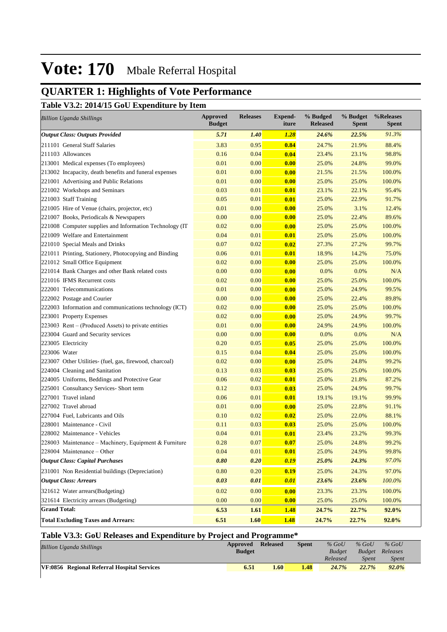## **QUARTER 1: Highlights of Vote Performance**

**Table V3.2: 2014/15 GoU Expenditure by Item**

| <b>Billion Uganda Shillings</b>                          | <b>Approved</b><br><b>Budget</b> | <b>Releases</b> | <b>Expend-</b><br>iture | % Budged<br><b>Released</b> | % Budget<br><b>Spent</b> | %Releases<br><b>Spent</b> |
|----------------------------------------------------------|----------------------------------|-----------------|-------------------------|-----------------------------|--------------------------|---------------------------|
| <b>Output Class: Outputs Provided</b>                    | 5.71                             | 1.40            | <b>1.28</b>             | 24.6%                       | 22.5%                    | 91.3%                     |
| 211101 General Staff Salaries                            | 3.83                             | 0.95            | 0.84                    | 24.7%                       | 21.9%                    | 88.4%                     |
| 211103 Allowances                                        | 0.16                             | 0.04            | 0.04                    | 23.4%                       | 23.1%                    | 98.8%                     |
| 213001 Medical expenses (To employees)                   | 0.01                             | 0.00            | 0.00                    | 25.0%                       | 24.8%                    | 99.0%                     |
| 213002 Incapacity, death benefits and funeral expenses   | 0.01                             | 0.00            | 0.00                    | 21.5%                       | 21.5%                    | 100.0%                    |
| 221001 Advertising and Public Relations                  | 0.01                             | 0.00            | 0.00                    | 25.0%                       | 25.0%                    | 100.0%                    |
| 221002 Workshops and Seminars                            | 0.03                             | 0.01            | 0.01                    | 23.1%                       | 22.1%                    | 95.4%                     |
| 221003 Staff Training                                    | 0.05                             | 0.01            | 0.01                    | 25.0%                       | 22.9%                    | 91.7%                     |
| 221005 Hire of Venue (chairs, projector, etc)            | 0.01                             | 0.00            | 0.00                    | 25.0%                       | 3.1%                     | 12.4%                     |
| 221007 Books, Periodicals & Newspapers                   | 0.00                             | 0.00            | 0.00                    | 25.0%                       | 22.4%                    | 89.6%                     |
| 221008 Computer supplies and Information Technology (IT) | 0.02                             | 0.00            | 0.00                    | 25.0%                       | 25.0%                    | 100.0%                    |
| 221009 Welfare and Entertainment                         | 0.04                             | 0.01            | 0.01                    | 25.0%                       | 25.0%                    | 100.0%                    |
| 221010 Special Meals and Drinks                          | 0.07                             | 0.02            | 0.02                    | 27.3%                       | 27.2%                    | 99.7%                     |
| 221011 Printing, Stationery, Photocopying and Binding    | 0.06                             | 0.01            | 0.01                    | 18.9%                       | 14.2%                    | 75.0%                     |
| 221012 Small Office Equipment                            | 0.02                             | 0.00            | 0.00                    | 25.0%                       | 25.0%                    | 100.0%                    |
| 221014 Bank Charges and other Bank related costs         | 0.00                             | 0.00            | 0.00                    | 0.0%                        | 0.0%                     | N/A                       |
| 221016 IFMS Recurrent costs                              | 0.02                             | 0.00            | 0.00                    | 25.0%                       | 25.0%                    | 100.0%                    |
| 222001 Telecommunications                                | 0.01                             | 0.00            | 0.00                    | 25.0%                       | 24.9%                    | 99.5%                     |
| 222002 Postage and Courier                               | 0.00                             | 0.00            | 0.00                    | 25.0%                       | 22.4%                    | 89.8%                     |
| 222003 Information and communications technology (ICT)   | 0.02                             | 0.00            | 0.00                    | 25.0%                       | 25.0%                    | 100.0%                    |
| 223001 Property Expenses                                 | 0.02                             | 0.00            | 0.00                    | 25.0%                       | 24.9%                    | 99.7%                     |
| 223003 Rent - (Produced Assets) to private entities      | 0.01                             | 0.00            | 0.00                    | 24.9%                       | 24.9%                    | 100.0%                    |
| 223004 Guard and Security services                       | 0.00                             | 0.00            | 0.00                    | 0.0%                        | 0.0%                     | N/A                       |
| 223005 Electricity                                       | 0.20                             | 0.05            | 0.05                    | 25.0%                       | 25.0%                    | 100.0%                    |
| 223006 Water                                             | 0.15                             | 0.04            | 0.04                    | 25.0%                       | 25.0%                    | 100.0%                    |
| 223007 Other Utilities- (fuel, gas, firewood, charcoal)  | 0.02                             | 0.00            | 0.00                    | 25.0%                       | 24.8%                    | 99.2%                     |
| 224004 Cleaning and Sanitation                           | 0.13                             | 0.03            | 0.03                    | 25.0%                       | 25.0%                    | 100.0%                    |
| 224005 Uniforms, Beddings and Protective Gear            | 0.06                             | 0.02            | 0.01                    | 25.0%                       | 21.8%                    | 87.2%                     |
| 225001 Consultancy Services- Short term                  | 0.12                             | 0.03            | 0.03                    | 25.0%                       | 24.9%                    | 99.7%                     |
| 227001 Travel inland                                     | 0.06                             | 0.01            | 0.01                    | 19.1%                       | 19.1%                    | 99.9%                     |
| 227002 Travel abroad                                     | 0.01                             | 0.00            | 0.00                    | 25.0%                       | 22.8%                    | 91.1%                     |
| 227004 Fuel, Lubricants and Oils                         | 0.10                             | 0.02            | 0.02                    | 25.0%                       | 22.0%                    | 88.1%                     |
| 228001 Maintenance - Civil                               | 0.11                             | 0.03            | 0.03                    | 25.0%                       | 25.0%                    | 100.0%                    |
| 228002 Maintenance - Vehicles                            | 0.04                             | 0.01            | 0.01                    | 23.4%                       | 23.2%                    | 99.3%                     |
| 228003 Maintenance – Machinery, Equipment & Furniture    | 0.28                             | 0.07            | 0.07                    | 25.0%                       | 24.8%                    | 99.2%                     |
| 228004 Maintenance - Other                               | 0.04                             | 0.01            | 0.01                    | 25.0%                       | 24.9%                    | 99.8%                     |
| <b>Output Class: Capital Purchases</b>                   | 0.80                             | 0.20            | 0.19                    | 25.0%                       | 24.3%                    | 97.0%                     |
| 231001 Non Residential buildings (Depreciation)          | 0.80                             | 0.20            | 0.19                    | 25.0%                       | 24.3%                    | 97.0%                     |
| <b>Output Class: Arrears</b>                             | 0.03                             | 0.01            | 0.01                    | 23.6%                       | 23.6%                    | 100.0%                    |
| 321612 Water arrears(Budgeting)                          | 0.02                             | 0.00            | 0.00                    | 23.3%                       | 23.3%                    | 100.0%                    |
| 321614 Electricity arrears (Budgeting)                   | 0.00                             | 0.00            | 0.00                    | 25.0%                       | 25.0%                    | 100.0%                    |
| <b>Grand Total:</b>                                      | 6.53                             | 1.61            | <b>1.48</b>             | 24.7%                       | 22.7%                    | 92.0%                     |
| <b>Total Excluding Taxes and Arrears:</b>                | 6.51                             | 1.60            | <b>1.48</b>             | 24.7%                       | 22.7%                    | 92.0%                     |

### **Table V3.3: GoU Releases and Expenditure by Project and Programme\***

| <b>Billion Uganda Shillings</b>             | Approved      | <b>Released</b> | Spent | $%$ GoU       | $%$ GoU       | $%$ GoU      |
|---------------------------------------------|---------------|-----------------|-------|---------------|---------------|--------------|
|                                             | <b>Budget</b> |                 |       | <b>Budget</b> | <b>Budget</b> | Releases     |
|                                             |               |                 |       | Released      | <b>Spent</b>  | <i>Spent</i> |
| VF:0856 Regional Referral Hospital Services | 6.51          | 1.60            | 1.48  | 24.7%         | 22.7%         | 92.0%        |
|                                             |               |                 |       |               |               |              |